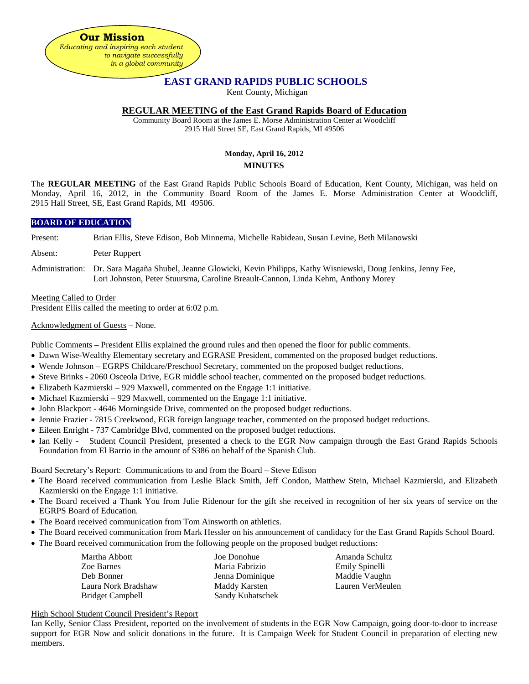**Our Mission** *Educating and inspiring each student to navigate successfully in a global community*

# **EAST GRAND RAPIDS PUBLIC SCHOOLS**

Kent County, Michigan

### **REGULAR MEETING of the East Grand Rapids Board of Education**

Community Board Room at the James E. Morse Administration Center at Woodcliff 2915 Hall Street SE, East Grand Rapids, MI 49506

## **Monday, April 16, 2012 MINUTES**

The **REGULAR MEETING** of the East Grand Rapids Public Schools Board of Education, Kent County, Michigan, was held on Monday, April 16, 2012, in the Community Board Room of the James E. Morse Administration Center at Woodcliff, 2915 Hall Street, SE, East Grand Rapids, MI 49506.

### **BOARD OF EDUCATION**

Present: Brian Ellis, Steve Edison, Bob Minnema, Michelle Rabideau, Susan Levine, Beth Milanowski

- Absent: Peter Ruppert
- Administration: Dr. Sara Magaña Shubel, Jeanne Glowicki, Kevin Philipps, Kathy Wisniewski, Doug Jenkins, Jenny Fee, Lori Johnston, Peter Stuursma, Caroline Breault-Cannon, Linda Kehm, Anthony Morey

### Meeting Called to Order

President Ellis called the meeting to order at 6:02 p.m.

Acknowledgment of Guests – None.

Public Comments – President Ellis explained the ground rules and then opened the floor for public comments.

- Dawn Wise-Wealthy Elementary secretary and EGRASE President, commented on the proposed budget reductions.
- Wende Johnson EGRPS Childcare/Preschool Secretary, commented on the proposed budget reductions.
- Steve Brinks 2060 Osceola Drive, EGR middle school teacher, commented on the proposed budget reductions.
- Elizabeth Kazmierski 929 Maxwell, commented on the Engage 1:1 initiative.
- Michael Kazmierski 929 Maxwell, commented on the Engage 1:1 initiative.
- John Blackport 4646 Morningside Drive, commented on the proposed budget reductions.
- Jennie Frazier 7815 Creekwood, EGR foreign language teacher, commented on the proposed budget reductions.
- Eileen Enright 737 Cambridge Blvd, commented on the proposed budget reductions.
- Ian Kelly Student Council President, presented a check to the EGR Now campaign through the East Grand Rapids Schools Foundation from El Barrio in the amount of \$386 on behalf of the Spanish Club.

Board Secretary's Report: Communications to and from the Board – Steve Edison

- The Board received communication from Leslie Black Smith, Jeff Condon, Matthew Stein, Michael Kazmierski, and Elizabeth Kazmierski on the Engage 1:1 initiative.
- The Board received a Thank You from Julie Ridenour for the gift she received in recognition of her six years of service on the EGRPS Board of Education.
- The Board received communication from Tom Ainsworth on athletics.
- The Board received communication from Mark Hessler on his announcement of candidacy for the East Grand Rapids School Board.
- The Board received communication from the following people on the proposed budget reductions:

| Martha Abbott       | Joe Donohue      |
|---------------------|------------------|
| Zoe Barnes          | Maria Fabrizio   |
| Deb Bonner          | Jenna Dominique  |
| Laura Nork Bradshaw | Maddy Karsten    |
| Bridget Campbell    | Sandy Kuhatschek |

Amanda Schultz Emily Spinelli Maddie Vaughn Lauren VerMeulen

### High School Student Council President's Report

Ian Kelly, Senior Class President, reported on the involvement of students in the EGR Now Campaign, going door-to-door to increase support for EGR Now and solicit donations in the future. It is Campaign Week for Student Council in preparation of electing new members.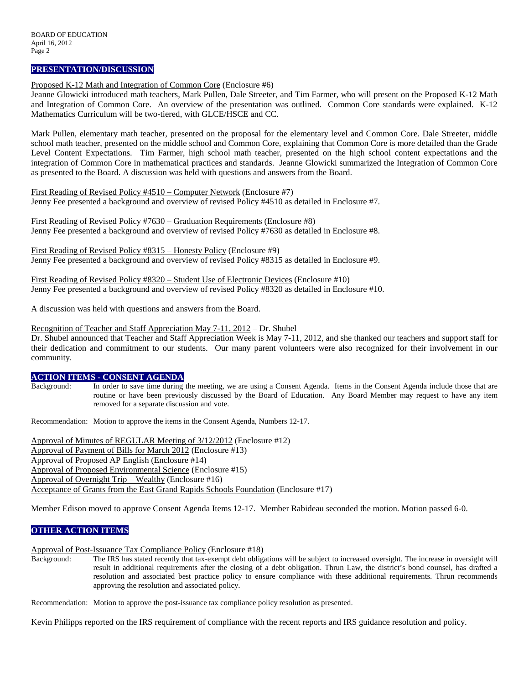#### **PRESENTATION/DISCUSSION**

Proposed K-12 Math and Integration of Common Core (Enclosure #6)

Jeanne Glowicki introduced math teachers, Mark Pullen, Dale Streeter, and Tim Farmer, who will present on the Proposed K-12 Math and Integration of Common Core. An overview of the presentation was outlined. Common Core standards were explained. K-12 Mathematics Curriculum will be two-tiered, with GLCE/HSCE and CC.

Mark Pullen, elementary math teacher, presented on the proposal for the elementary level and Common Core. Dale Streeter, middle school math teacher, presented on the middle school and Common Core, explaining that Common Core is more detailed than the Grade Level Content Expectations. Tim Farmer, high school math teacher, presented on the high school content expectations and the integration of Common Core in mathematical practices and standards. Jeanne Glowicki summarized the Integration of Common Core as presented to the Board. A discussion was held with questions and answers from the Board.

First Reading of Revised Policy #4510 – Computer Network (Enclosure #7) Jenny Fee presented a background and overview of revised Policy #4510 as detailed in Enclosure #7.

First Reading of Revised Policy #7630 – Graduation Requirements (Enclosure #8) Jenny Fee presented a background and overview of revised Policy #7630 as detailed in Enclosure #8.

First Reading of Revised Policy #8315 – Honesty Policy (Enclosure #9) Jenny Fee presented a background and overview of revised Policy #8315 as detailed in Enclosure #9.

First Reading of Revised Policy #8320 – Student Use of Electronic Devices (Enclosure #10) Jenny Fee presented a background and overview of revised Policy #8320 as detailed in Enclosure #10.

A discussion was held with questions and answers from the Board.

Recognition of Teacher and Staff Appreciation May 7-11, 2012 – Dr. Shubel

Dr. Shubel announced that Teacher and Staff Appreciation Week is May 7-11, 2012, and she thanked our teachers and support staff for their dedication and commitment to our students. Our many parent volunteers were also recognized for their involvement in our community.

### **ACTION ITEMS - CONSENT AGENDA**

Background: In order to save time during the meeting, we are using a Consent Agenda. Items in the Consent Agenda include those that are routine or have been previously discussed by the Board of Education. Any Board Member may request to have any item removed for a separate discussion and vote.

Recommendation: Motion to approve the items in the Consent Agenda, Numbers 12-17.

Approval of Minutes of REGULAR Meeting of 3/12/2012 (Enclosure #12) Approval of Payment of Bills for March 2012 (Enclosure #13) Approval of Proposed AP English (Enclosure #14) Approval of Proposed Environmental Science (Enclosure #15) Approval of Overnight Trip – Wealthy (Enclosure #16) Acceptance of Grants from the East Grand Rapids Schools Foundation (Enclosure #17)

Member Edison moved to approve Consent Agenda Items 12-17. Member Rabideau seconded the motion. Motion passed 6-0.

### **OTHER ACTION ITEMS**

#### Approval of Post-Issuance Tax Compliance Policy (Enclosure #18)

Background: The IRS has stated recently that tax-exempt debt obligations will be subject to increased oversight. The increase in oversight will result in additional requirements after the closing of a debt obligation. Thrun Law, the district's bond counsel, has drafted a resolution and associated best practice policy to ensure compliance with these additional requirements. Thrun recommends approving the resolution and associated policy.

Recommendation: Motion to approve the post-issuance tax compliance policy resolution as presented.

Kevin Philipps reported on the IRS requirement of compliance with the recent reports and IRS guidance resolution and policy.